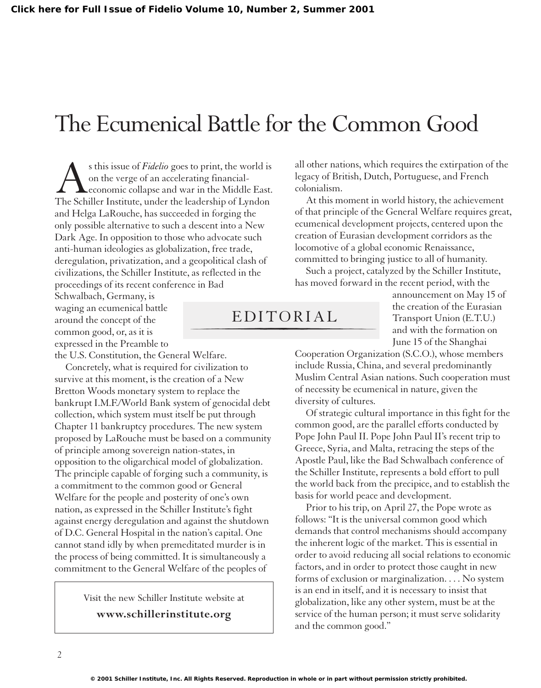## The Ecumenical Battle for the Common Good

s this issue of *Fidelio* goes to print, the world is<br>on the verge of an accelerating financial-<br>cconomic collapse and war in the Middle East.<br>The Schiller Institute, under the leadership of Lyndon on the verge of an accelerating financialeconomic collapse and war in the Middle East. and Helga LaRouche, has succeeded in forging the only possible alternative to such a descent into a New Dark Age. In opposition to those who advocate such anti-human ideologies as globalization, free trade, deregulation, privatization, and a geopolitical clash of civilizations, the Schiller Institute, as reflected in the proceedings of its recent conference in Bad

Schwalbach, Germany, is waging an ecumenical battle around the concept of the common good, or, as it is expressed in the Preamble to the U.S. Constitution, the General Welfare.

Concretely, what is required for civilization to survive at this moment, is the creation of a New Bretton Woods monetary system to replace the bankrupt I.M.F./World Bank system of genocidal debt collection, which system must itself be put through Chapter 11 bankruptcy procedures. The new system proposed by LaRouche must be based on a community of principle among sovereign nation-states, in opposition to the oligarchical model of globalization. The principle capable of forging such a community, is a commitment to the common good or General Welfare for the people and posterity of one's own nation, as expressed in the Schiller Institute's fight against energy deregulation and against the shutdown of D.C. General Hospital in the nation's capital. One cannot stand idly by when premeditated murder is in the process of being committed. It is simultaneously a commitment to the General Welfare of the peoples of

> Visit the new Schiller Institute website at **www.schillerinstitute.org**

all other nations, which requires the extirpation of the legacy of British, Dutch, Portuguese, and French colonialism.

At this moment in world history, the achievement of that principle of the General Welfare requires great, ecumenical development projects, centered upon the creation of Eurasian development corridors as the locomotive of a global economic Renaissance, committed to bringing justice to all of humanity.

Such a project, catalyzed by the Schiller Institute, has moved forward in the recent period, with the

## EDITORIAL

announcement on May 15 of the creation of the Eurasian Transport Union (E.T.U.) and with the formation on June 15 of the Shanghai

Cooperation Organization (S.C.O.), whose members include Russia, China, and several predominantly Muslim Central Asian nations. Such cooperation must of necessity be ecumenical in nature, given the diversity of cultures.

Of strategic cultural importance in this fight for the common good, are the parallel efforts conducted by Pope John Paul II. Pope John Paul II's recent trip to Greece, Syria, and Malta, retracing the steps of the Apostle Paul, like the Bad Schwalbach conference of the Schiller Institute, represents a bold effort to pull the world back from the precipice, and to establish the basis for world peace and development.

Prior to his trip, on April 27, the Pope wrote as follows: "It is the universal common good which demands that control mechanisms should accompany the inherent logic of the market. This is essential in order to avoid reducing all social relations to economic factors, and in order to protect those caught in new forms of exclusion or marginalization. . . . No system is an end in itself, and it is necessary to insist that globalization, like any other system, must be at the service of the human person; it must serve solidarity and the common good."